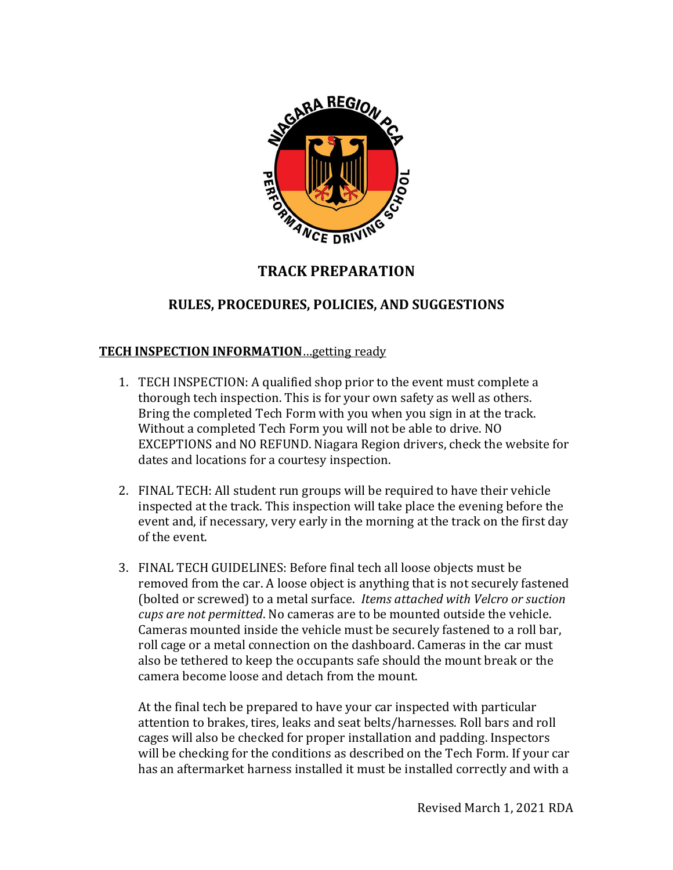

# **TRACK PREPARATION**

## **RULES, PROCEDURES, POLICIES, AND SUGGESTIONS**

#### **TECH INSPECTION INFORMATION**…getting ready

- 1. TECH INSPECTION: A qualified shop prior to the event must complete a thorough tech inspection. This is for your own safety as well as others. Bring the completed Tech Form with you when you sign in at the track. Without a completed Tech Form you will not be able to drive. NO EXCEPTIONS and NO REFUND. Niagara Region drivers, check the website for dates and locations for a courtesy inspection.
- 2. FINAL TECH: All student run groups will be required to have their vehicle inspected at the track. This inspection will take place the evening before the event and, if necessary, very early in the morning at the track on the first day of the event.
- 3. FINAL TECH GUIDELINES: Before final tech all loose objects must be removed from the car. A loose object is anything that is not securely fastened (bolted or screwed) to a metal surface. *Items attached with Velcro or suction cups are not permitted*. No cameras are to be mounted outside the vehicle. Cameras mounted inside the vehicle must be securely fastened to a roll bar, roll cage or a metal connection on the dashboard. Cameras in the car must also be tethered to keep the occupants safe should the mount break or the camera become loose and detach from the mount.

At the final tech be prepared to have your car inspected with particular attention to brakes, tires, leaks and seat belts/harnesses. Roll bars and roll cages will also be checked for proper installation and padding. Inspectors will be checking for the conditions as described on the Tech Form. If your car has an aftermarket harness installed it must be installed correctly and with a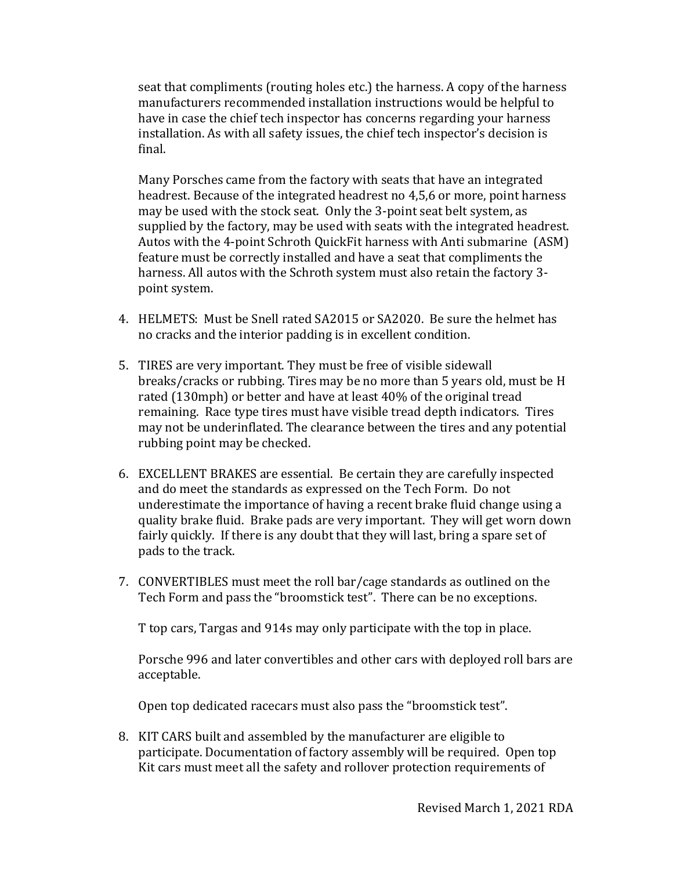seat that compliments (routing holes etc.) the harness. A copy of the harness manufacturers recommended installation instructions would be helpful to have in case the chief tech inspector has concerns regarding your harness installation. As with all safety issues, the chief tech inspector's decision is final.

Many Porsches came from the factory with seats that have an integrated headrest. Because of the integrated headrest no 4,5,6 or more, point harness may be used with the stock seat. Only the 3-point seat belt system, as supplied by the factory, may be used with seats with the integrated headrest. Autos with the 4-point Schroth QuickFit harness with Anti submarine (ASM) feature must be correctly installed and have a seat that compliments the harness. All autos with the Schroth system must also retain the factory 3 point system.

- 4. HELMETS: Must be Snell rated SA2015 or SA2020. Be sure the helmet has no cracks and the interior padding is in excellent condition.
- 5. TIRES are very important. They must be free of visible sidewall breaks/cracks or rubbing. Tires may be no more than 5 years old, must be H rated (130mph) or better and have at least 40% of the original tread remaining. Race type tires must have visible tread depth indicators. Tires may not be underinflated. The clearance between the tires and any potential rubbing point may be checked.
- 6. EXCELLENT BRAKES are essential. Be certain they are carefully inspected and do meet the standards as expressed on the Tech Form. Do not underestimate the importance of having a recent brake fluid change using a quality brake fluid. Brake pads are very important. They will get worn down fairly quickly. If there is any doubt that they will last, bring a spare set of pads to the track.
- 7. CONVERTIBLES must meet the roll bar/cage standards as outlined on the Tech Form and pass the "broomstick test". There can be no exceptions.

T top cars, Targas and 914s may only participate with the top in place.

Porsche 996 and later convertibles and other cars with deployed roll bars are acceptable.

Open top dedicated racecars must also pass the "broomstick test".

8. KIT CARS built and assembled by the manufacturer are eligible to participate. Documentation of factory assembly will be required. Open top Kit cars must meet all the safety and rollover protection requirements of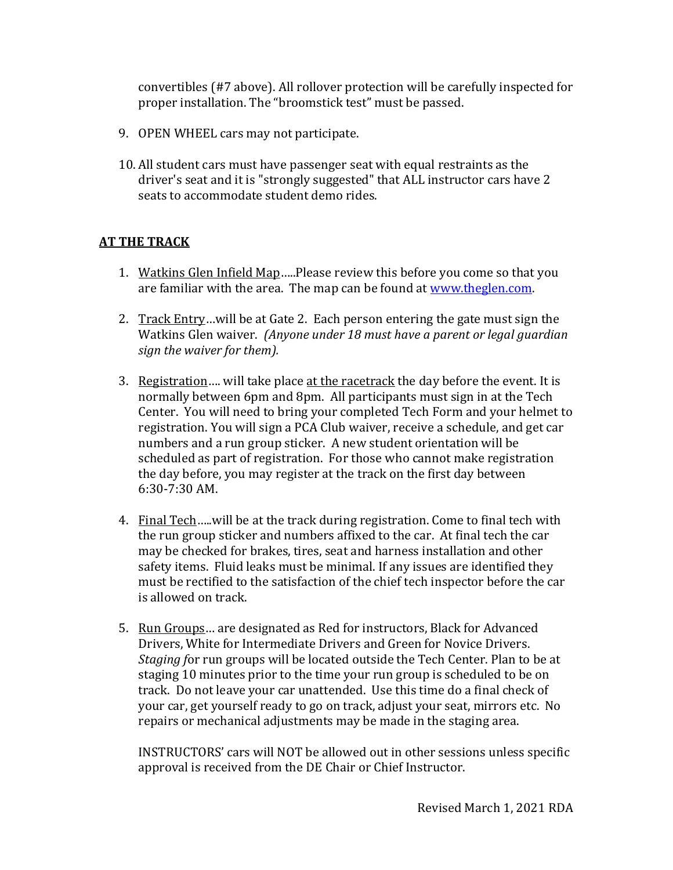convertibles (#7 above). All rollover protection will be carefully inspected for proper installation. The "broomstick test" must be passed.

- 9. OPEN WHEEL cars may not participate.
- 10. All student cars must have passenger seat with equal restraints as the driver's seat and it is "strongly suggested" that ALL instructor cars have 2 seats to accommodate student demo rides.

### **AT THE TRACK**

- 1. Watkins Glen Infield Map…..Please review this before you come so that you are familiar with the area. The map can be found at [www.theglen.com.](http://www.theglen.com/)
- 2. Track Entry... will be at Gate 2. Each person entering the gate must sign the Watkins Glen waiver. *(Anyone under 18 must have a parent or legal guardian sign the waiver for them).*
- 3. Registration…. will take place at the racetrack the day before the event. It is normally between 6pm and 8pm. All participants must sign in at the Tech Center. You will need to bring your completed Tech Form and your helmet to registration. You will sign a PCA Club waiver, receive a schedule, and get car numbers and a run group sticker. A new student orientation will be scheduled as part of registration. For those who cannot make registration the day before, you may register at the track on the first day between 6:30-7:30 AM.
- 4. Final Tech…..will be at the track during registration. Come to final tech with the run group sticker and numbers affixed to the car. At final tech the car may be checked for brakes, tires, seat and harness installation and other safety items. Fluid leaks must be minimal. If any issues are identified they must be rectified to the satisfaction of the chief tech inspector before the car is allowed on track.
- 5. Run Groups... are designated as Red for instructors, Black for Advanced Drivers, White for Intermediate Drivers and Green for Novice Drivers. *Staging f*or run groups will be located outside the Tech Center. Plan to be at staging 10 minutes prior to the time your run group is scheduled to be on track. Do not leave your car unattended. Use this time do a final check of your car, get yourself ready to go on track, adjust your seat, mirrors etc. No repairs or mechanical adjustments may be made in the staging area.

INSTRUCTORS' cars will NOT be allowed out in other sessions unless specific approval is received from the DE Chair or Chief Instructor.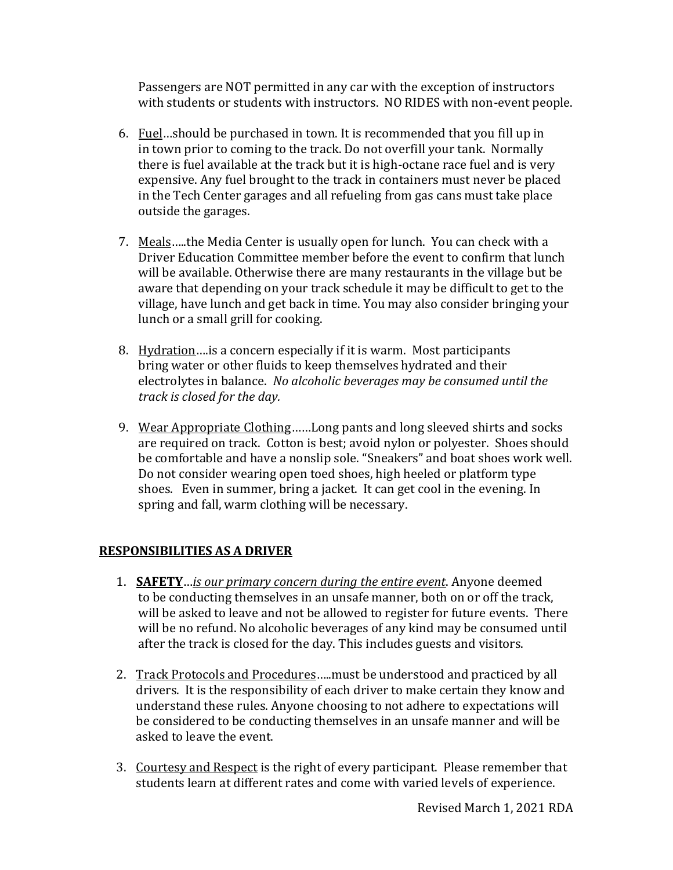Passengers are NOT permitted in any car with the exception of instructors with students or students with instructors. NO RIDES with non-event people.

- 6. Fuel…should be purchased in town. It is recommended that you fill up in in town prior to coming to the track. Do not overfill your tank. Normally there is fuel available at the track but it is high-octane race fuel and is very expensive. Any fuel brought to the track in containers must never be placed in the Tech Center garages and all refueling from gas cans must take place outside the garages.
- 7. Meals…..the Media Center is usually open for lunch. You can check with a Driver Education Committee member before the event to confirm that lunch will be available. Otherwise there are many restaurants in the village but be aware that depending on your track schedule it may be difficult to get to the village, have lunch and get back in time. You may also consider bringing your lunch or a small grill for cooking.
- 8. Hydration...is a concern especially if it is warm. Most participants bring water or other fluids to keep themselves hydrated and their electrolytes in balance. *No alcoholic beverages may be consumed until the track is closed for the day.*
- 9. Wear Appropriate Clothing……Long pants and long sleeved shirts and socks are required on track. Cotton is best; avoid nylon or polyester. Shoes should be comfortable and have a nonslip sole. "Sneakers" and boat shoes work well. Do not consider wearing open toed shoes, high heeled or platform type shoes. Even in summer, bring a jacket. It can get cool in the evening. In spring and fall, warm clothing will be necessary.

### **RESPONSIBILITIES AS A DRIVER**

- 1. **SAFETY**…*is our primary concern during the entire event*. Anyone deemed to be conducting themselves in an unsafe manner, both on or off the track, will be asked to leave and not be allowed to register for future events. There will be no refund. No alcoholic beverages of any kind may be consumed until after the track is closed for the day. This includes guests and visitors.
- 2. Track Protocols and Procedures…..must be understood and practiced by all drivers. It is the responsibility of each driver to make certain they know and understand these rules. Anyone choosing to not adhere to expectations will be considered to be conducting themselves in an unsafe manner and will be asked to leave the event.
- 3. Courtesy and Respect is the right of every participant. Please remember that students learn at different rates and come with varied levels of experience.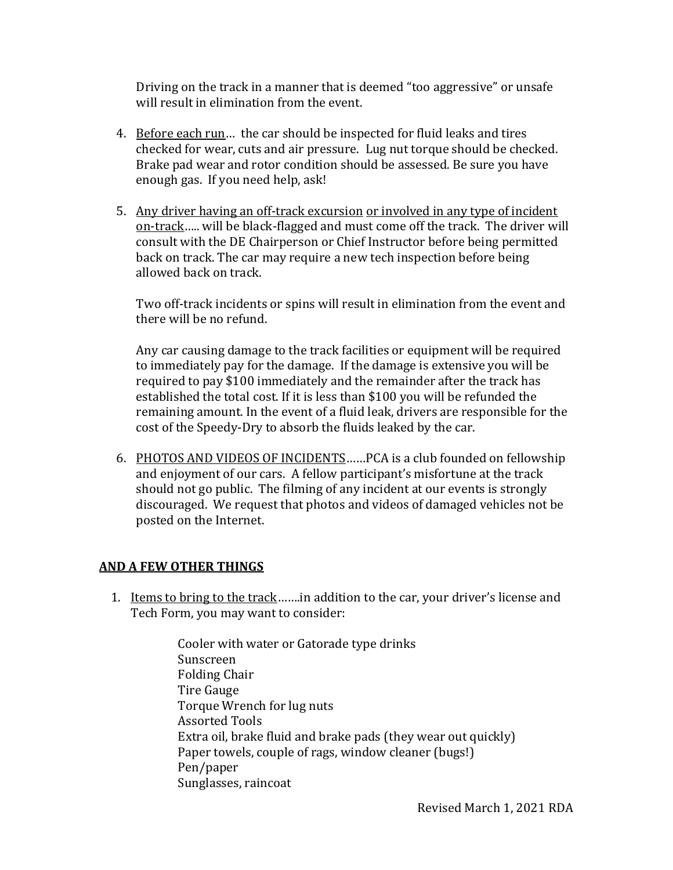Driving on the track in a manner that is deemed "too aggressive" or unsafe will result in elimination from the event.

- 4. Before each run… the car should be inspected for fluid leaks and tires checked for wear, cuts and air pressure. Lug nut torque should be checked. Brake pad wear and rotor condition should be assessed. Be sure you have enough gas. If you need help, ask!
- 5. Any driver having an off-track excursion or involved in any type of incident on-track….. will be black-flagged and must come off the track. The driver will consult with the DE Chairperson or Chief Instructor before being permitted back on track. The car may require a new tech inspection before being allowed back on track.

Two off-track incidents or spins will result in elimination from the event and there will be no refund.

Any car causing damage to the track facilities or equipment will be required to immediately pay for the damage. If the damage is extensive you will be required to pay \$100 immediately and the remainder after the track has established the total cost. If it is less than \$100 you will be refunded the remaining amount. In the event of a fluid leak, drivers are responsible for the cost of the Speedy-Dry to absorb the fluids leaked by the car.

6. PHOTOS AND VIDEOS OF INCIDENTS……PCA is a club founded on fellowship and enjoyment of our cars. A fellow participant's misfortune at the track should not go public. The filming of any incident at our events is strongly discouraged. We request that photos and videos of damaged vehicles not be posted on the Internet.

### **AND A FEW OTHER THINGS**

1. Items to bring to the track…….in addition to the car, your driver's license and Tech Form, you may want to consider:

> Cooler with water or Gatorade type drinks Sunscreen Folding Chair Tire Gauge Torque Wrench for lug nuts Assorted Tools Extra oil, brake fluid and brake pads (they wear out quickly) Paper towels, couple of rags, window cleaner (bugs!) Pen/paper Sunglasses, raincoat